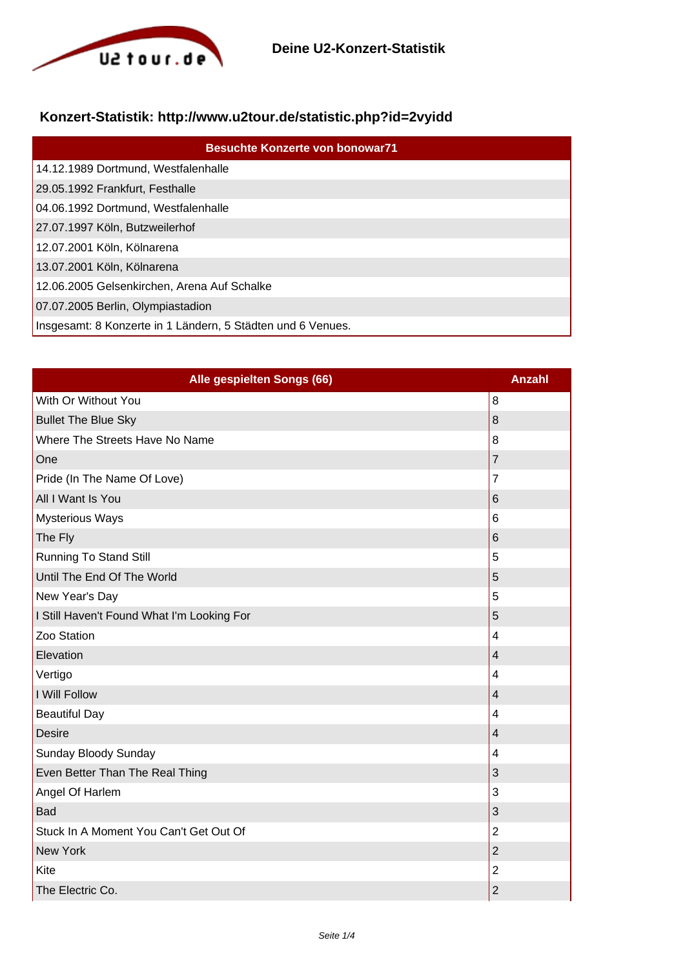

## **Konzert-Statistik: http://www.u2tour.de/statistic.php?id=2vyidd**

| <b>Besuchte Konzerte von bonowar71</b>                      |
|-------------------------------------------------------------|
| 14.12.1989 Dortmund, Westfalenhalle                         |
| 29.05.1992 Frankfurt, Festhalle                             |
| 04.06.1992 Dortmund, Westfalenhalle                         |
| 27.07.1997 Köln, Butzweilerhof                              |
| 12.07.2001 Köln, Kölnarena                                  |
| 13.07.2001 Köln, Kölnarena                                  |
| 12.06.2005 Gelsenkirchen, Arena Auf Schalke                 |
| 07.07.2005 Berlin, Olympiastadion                           |
| Insgesamt: 8 Konzerte in 1 Ländern, 5 Städten und 6 Venues. |

| Alle gespielten Songs (66)                 | <b>Anzahl</b>            |
|--------------------------------------------|--------------------------|
| With Or Without You                        | 8                        |
| <b>Bullet The Blue Sky</b>                 | 8                        |
| Where The Streets Have No Name             | 8                        |
| One                                        | $\overline{7}$           |
| Pride (In The Name Of Love)                | $\overline{7}$           |
| All I Want Is You                          | 6                        |
| <b>Mysterious Ways</b>                     | 6                        |
| The Fly                                    | 6                        |
| <b>Running To Stand Still</b>              | 5                        |
| Until The End Of The World                 | 5                        |
| New Year's Day                             | 5                        |
| I Still Haven't Found What I'm Looking For | 5                        |
| Zoo Station                                | $\overline{4}$           |
| Elevation                                  | $\overline{\mathcal{L}}$ |
| Vertigo                                    | 4                        |
| I Will Follow                              | 4                        |
| <b>Beautiful Day</b>                       | 4                        |
| <b>Desire</b>                              | 4                        |
| Sunday Bloody Sunday                       | 4                        |
| Even Better Than The Real Thing            | 3                        |
| Angel Of Harlem                            | 3                        |
| Bad                                        | 3                        |
| Stuck In A Moment You Can't Get Out Of     | $\overline{2}$           |
| <b>New York</b>                            | $\overline{2}$           |
| Kite                                       | $\overline{2}$           |
| The Electric Co.                           | $\overline{c}$           |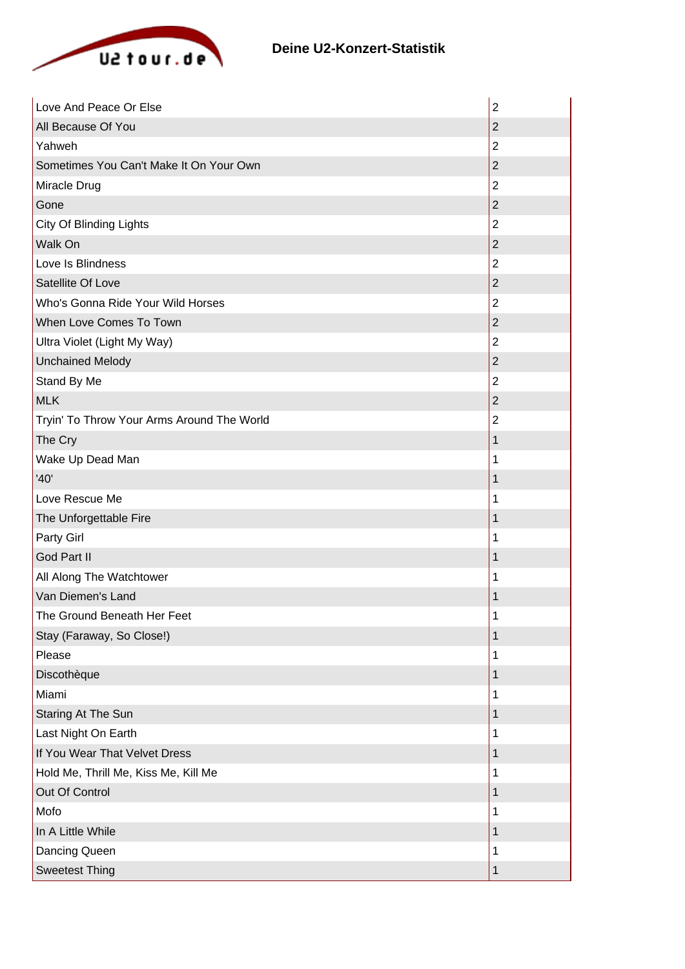

| Love And Peace Or Else                     | $\overline{2}$ |
|--------------------------------------------|----------------|
| All Because Of You                         | $\overline{2}$ |
| Yahweh                                     | $\overline{2}$ |
| Sometimes You Can't Make It On Your Own    | $\overline{2}$ |
| Miracle Drug                               | $\overline{2}$ |
| Gone                                       | $\overline{2}$ |
| City Of Blinding Lights                    | $\overline{2}$ |
| Walk On                                    | $\overline{2}$ |
| Love Is Blindness                          | $\overline{2}$ |
| Satellite Of Love                          | $\overline{2}$ |
| Who's Gonna Ride Your Wild Horses          | $\overline{2}$ |
| When Love Comes To Town                    | $\overline{2}$ |
| Ultra Violet (Light My Way)                | $\overline{2}$ |
| <b>Unchained Melody</b>                    | $\overline{2}$ |
| Stand By Me                                | $\overline{2}$ |
| <b>MLK</b>                                 | $\overline{2}$ |
| Tryin' To Throw Your Arms Around The World | $\overline{2}$ |
| The Cry                                    | 1              |
| Wake Up Dead Man                           | 1              |
| '40'                                       | 1              |
| Love Rescue Me                             | 1              |
| The Unforgettable Fire                     | 1              |
| Party Girl                                 | 1              |
| God Part II                                | 1              |
| All Along The Watchtower                   | 1              |
| Van Diemen's Land                          | 1              |
| The Ground Beneath Her Feet                | 1              |
| Stay (Faraway, So Close!)                  | 1              |
| Please                                     | 1              |
| Discothèque                                | 1              |
| Miami                                      | 1              |
| Staring At The Sun                         | $\mathbf 1$    |
| Last Night On Earth                        | 1              |
| If You Wear That Velvet Dress              | 1              |
| Hold Me, Thrill Me, Kiss Me, Kill Me       | 1              |
| Out Of Control                             | 1              |
| Mofo                                       | 1              |
| In A Little While                          | 1              |
| Dancing Queen                              | 1              |
| <b>Sweetest Thing</b>                      | 1              |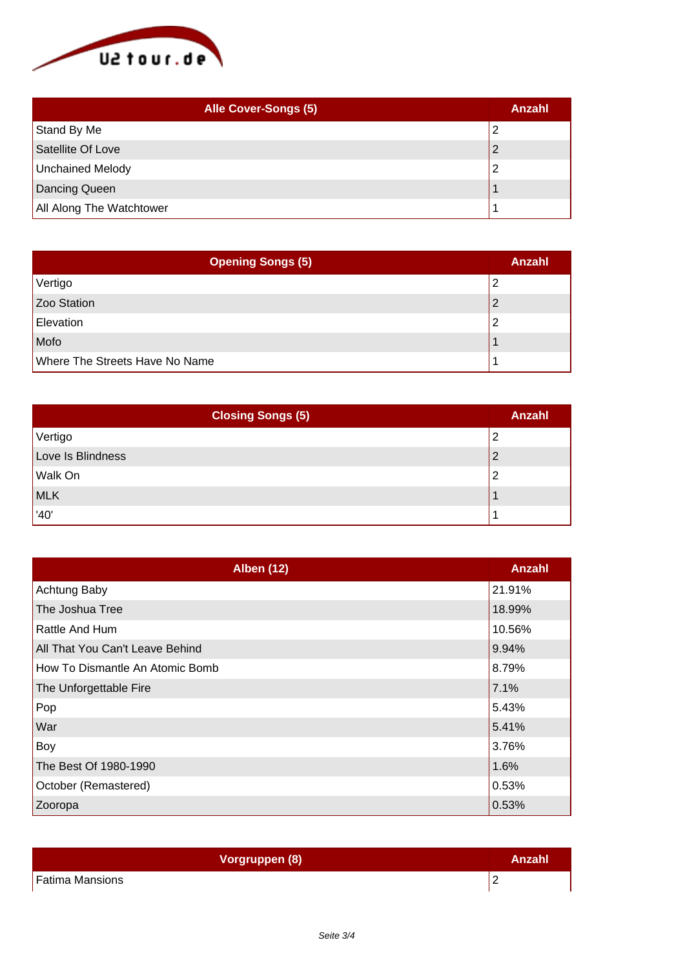

| <b>Alle Cover-Songs (5)</b> | Anzahl |
|-----------------------------|--------|
| Stand By Me                 |        |
| Satellite Of Love           |        |
| Unchained Melody            |        |
| Dancing Queen               |        |
| All Along The Watchtower    |        |

| <b>Opening Songs (5)</b>       | Anzahl |
|--------------------------------|--------|
| Vertigo                        |        |
| Zoo Station                    |        |
| Elevation                      |        |
| Mofo                           |        |
| Where The Streets Have No Name |        |

| <b>Closing Songs (5)</b> | <b>Anzahl</b> |
|--------------------------|---------------|
| Vertigo                  | ົ             |
| Love Is Blindness        | ◠             |
| Walk On                  |               |
| MLK                      |               |
| $^{\prime}$ '40'         |               |

| <b>Alben (12)</b>               | Anzahl |
|---------------------------------|--------|
| Achtung Baby                    | 21.91% |
| The Joshua Tree                 | 18.99% |
| Rattle And Hum                  | 10.56% |
| All That You Can't Leave Behind | 9.94%  |
| How To Dismantle An Atomic Bomb | 8.79%  |
| The Unforgettable Fire          | 7.1%   |
| Pop                             | 5.43%  |
| War                             | 5.41%  |
| Boy                             | 3.76%  |
| The Best Of 1980-1990           | 1.6%   |
| October (Remastered)            | 0.53%  |
| Zooropa                         | 0.53%  |

| Vorgruppen (8)         | Anzahl |
|------------------------|--------|
| <b>Fatima Mansions</b> | -      |